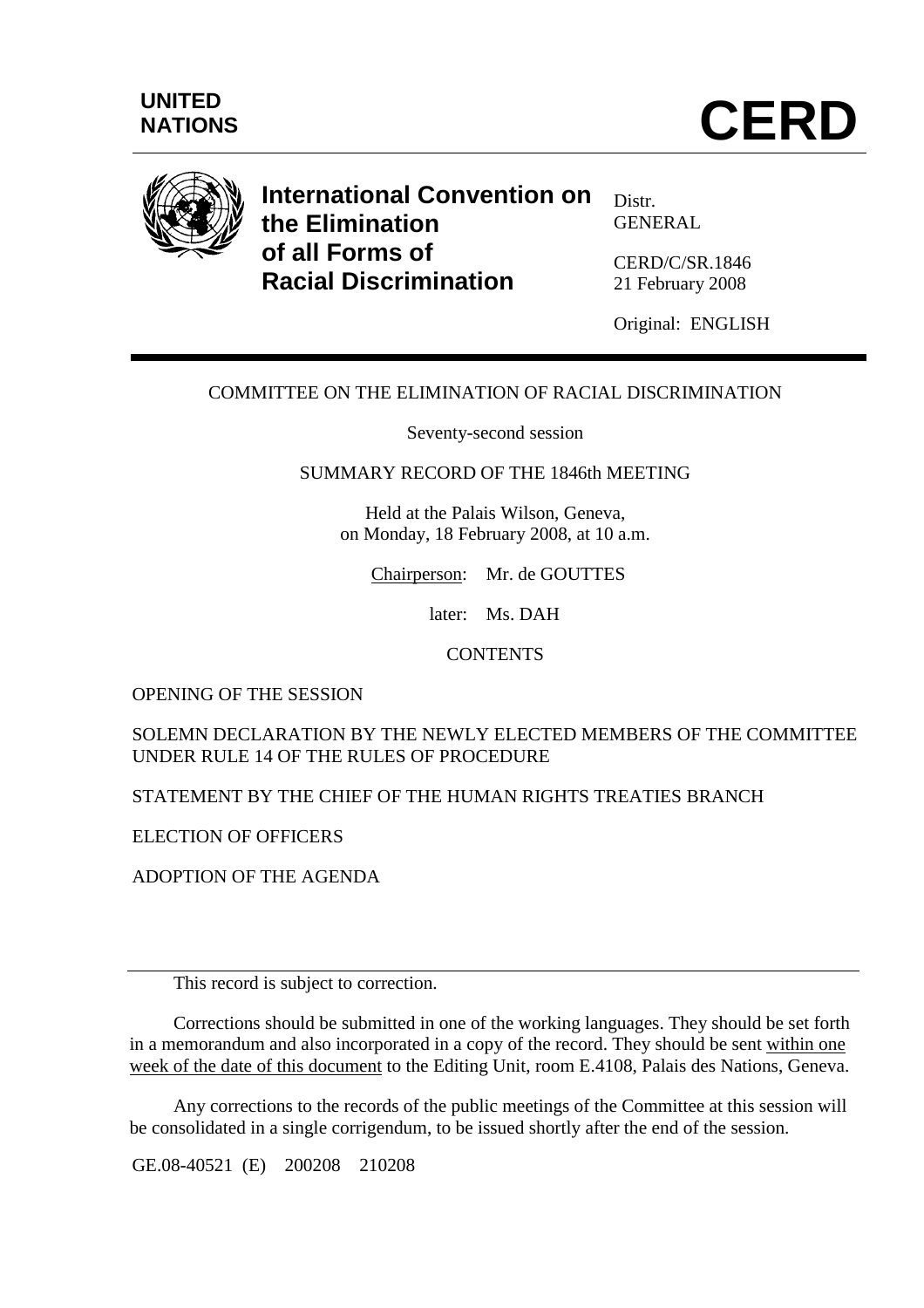

# **International Convention on the Elimination of all Forms of Racial Discrimination**

Distr. GENERAL

CERD/C/SR.1846 21 February 2008

Original: ENGLISH

# COMMITTEE ON THE ELIMINATION OF RACIAL DISCRIMINATION

Seventy-second session

SUMMARY RECORD OF THE 1846th MEETING

Held at the Palais Wilson, Geneva, on Monday, 18 February 2008, at 10 a.m.

Chairperson: Mr. de GOUTTES

later: Ms. DAH

**CONTENTS** 

OPENING OF THE SESSION

SOLEMN DECLARATION BY THE NEWLY ELECTED MEMBERS OF THE COMMITTEE UNDER RULE 14 OF THE RULES OF PROCEDURE

STATEMENT BY THE CHIEF OF THE HUMAN RIGHTS TREATIES BRANCH

ELECTION OF OFFICERS

ADOPTION OF THE AGENDA

This record is subject to correction.

 Corrections should be submitted in one of the working languages. They should be set forth in a memorandum and also incorporated in a copy of the record. They should be sent within one week of the date of this document to the Editing Unit, room E.4108, Palais des Nations, Geneva.

 Any corrections to the records of the public meetings of the Committee at this session will be consolidated in a single corrigendum, to be issued shortly after the end of the session.

GE.08-40521 (E) 200208 210208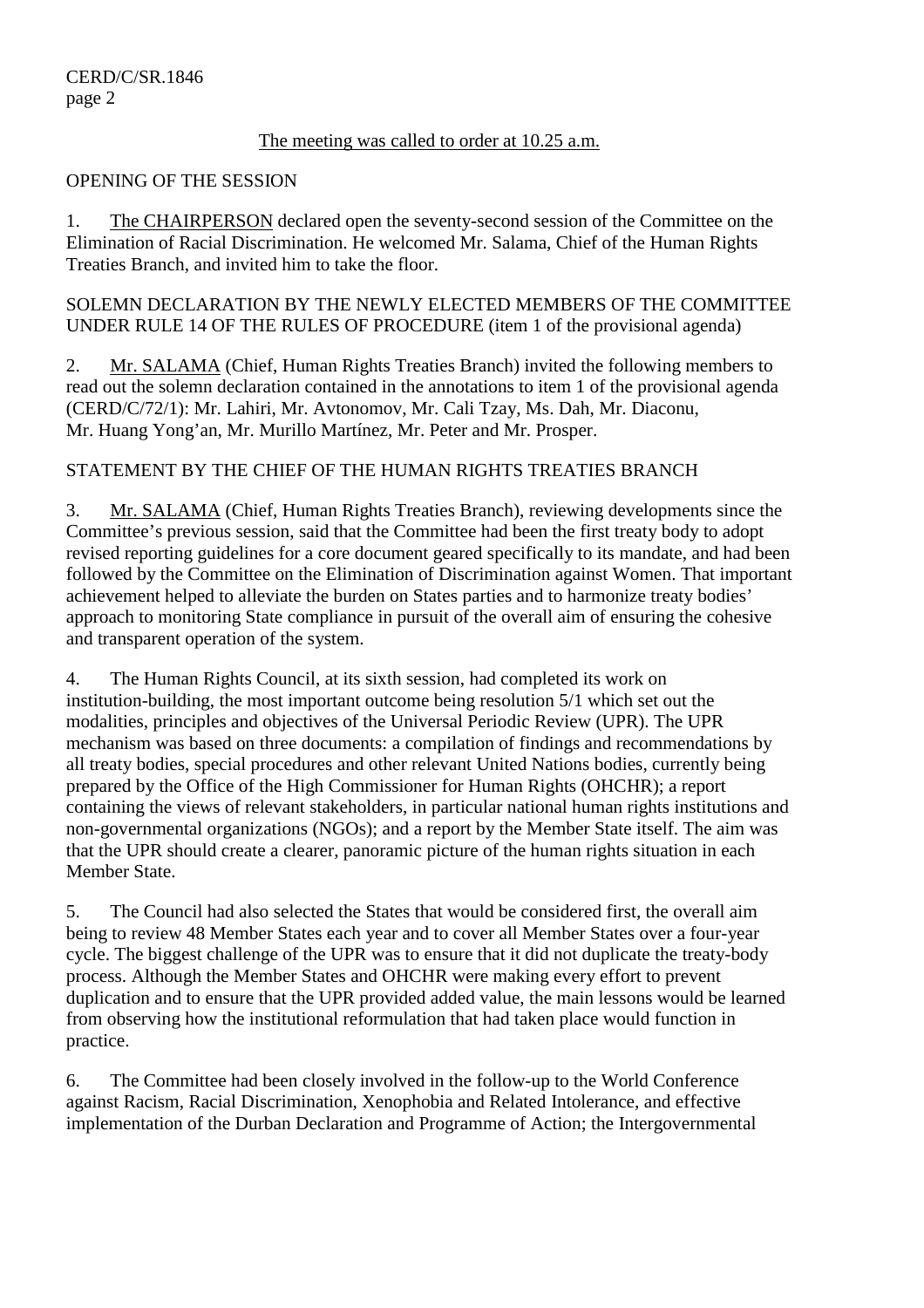### The meeting was called to order at 10.25 a.m.

#### OPENING OF THE SESSION

1. The CHAIRPERSON declared open the seventy-second session of the Committee on the Elimination of Racial Discrimination. He welcomed Mr. Salama, Chief of the Human Rights Treaties Branch, and invited him to take the floor.

SOLEMN DECLARATION BY THE NEWLY ELECTED MEMBERS OF THE COMMITTEE UNDER RULE 14 OF THE RULES OF PROCEDURE (item 1 of the provisional agenda)

2. Mr. SALAMA (Chief, Human Rights Treaties Branch) invited the following members to read out the solemn declaration contained in the annotations to item 1 of the provisional agenda (CERD/C/72/1): Mr. Lahiri, Mr. Avtonomov, Mr. Cali Tzay, Ms. Dah, Mr. Diaconu, Mr. Huang Yong'an, Mr. Murillo Martínez, Mr. Peter and Mr. Prosper.

## STATEMENT BY THE CHIEF OF THE HUMAN RIGHTS TREATIES BRANCH

3. Mr. SALAMA (Chief, Human Rights Treaties Branch), reviewing developments since the Committee's previous session, said that the Committee had been the first treaty body to adopt revised reporting guidelines for a core document geared specifically to its mandate, and had been followed by the Committee on the Elimination of Discrimination against Women. That important achievement helped to alleviate the burden on States parties and to harmonize treaty bodies' approach to monitoring State compliance in pursuit of the overall aim of ensuring the cohesive and transparent operation of the system.

4. The Human Rights Council, at its sixth session, had completed its work on institution-building, the most important outcome being resolution 5/1 which set out the modalities, principles and objectives of the Universal Periodic Review (UPR). The UPR mechanism was based on three documents: a compilation of findings and recommendations by all treaty bodies, special procedures and other relevant United Nations bodies, currently being prepared by the Office of the High Commissioner for Human Rights (OHCHR); a report containing the views of relevant stakeholders, in particular national human rights institutions and non-governmental organizations (NGOs); and a report by the Member State itself. The aim was that the UPR should create a clearer, panoramic picture of the human rights situation in each Member State.

5. The Council had also selected the States that would be considered first, the overall aim being to review 48 Member States each year and to cover all Member States over a four-year cycle. The biggest challenge of the UPR was to ensure that it did not duplicate the treaty-body process. Although the Member States and OHCHR were making every effort to prevent duplication and to ensure that the UPR provided added value, the main lessons would be learned from observing how the institutional reformulation that had taken place would function in practice.

6. The Committee had been closely involved in the follow-up to the World Conference against Racism, Racial Discrimination, Xenophobia and Related Intolerance, and effective implementation of the Durban Declaration and Programme of Action; the Intergovernmental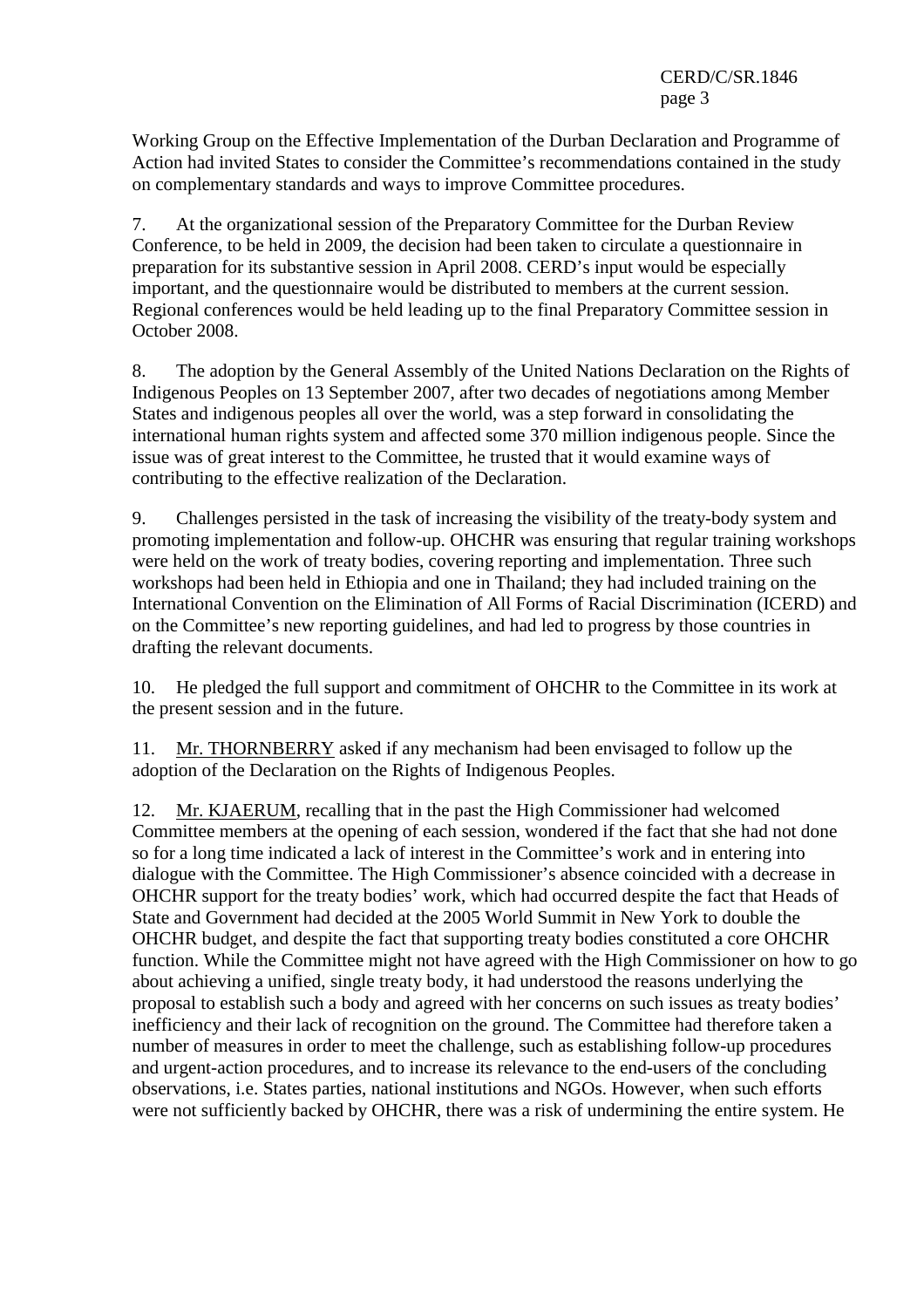Working Group on the Effective Implementation of the Durban Declaration and Programme of Action had invited States to consider the Committee's recommendations contained in the study on complementary standards and ways to improve Committee procedures.

7. At the organizational session of the Preparatory Committee for the Durban Review Conference, to be held in 2009, the decision had been taken to circulate a questionnaire in preparation for its substantive session in April 2008. CERD's input would be especially important, and the questionnaire would be distributed to members at the current session. Regional conferences would be held leading up to the final Preparatory Committee session in October 2008.

8. The adoption by the General Assembly of the United Nations Declaration on the Rights of Indigenous Peoples on 13 September 2007, after two decades of negotiations among Member States and indigenous peoples all over the world, was a step forward in consolidating the international human rights system and affected some 370 million indigenous people. Since the issue was of great interest to the Committee, he trusted that it would examine ways of contributing to the effective realization of the Declaration.

9. Challenges persisted in the task of increasing the visibility of the treaty-body system and promoting implementation and follow-up. OHCHR was ensuring that regular training workshops were held on the work of treaty bodies, covering reporting and implementation. Three such workshops had been held in Ethiopia and one in Thailand; they had included training on the International Convention on the Elimination of All Forms of Racial Discrimination (ICERD) and on the Committee's new reporting guidelines, and had led to progress by those countries in drafting the relevant documents.

10. He pledged the full support and commitment of OHCHR to the Committee in its work at the present session and in the future.

11. Mr. THORNBERRY asked if any mechanism had been envisaged to follow up the adoption of the Declaration on the Rights of Indigenous Peoples.

12. Mr. KJAERUM, recalling that in the past the High Commissioner had welcomed Committee members at the opening of each session, wondered if the fact that she had not done so for a long time indicated a lack of interest in the Committee's work and in entering into dialogue with the Committee. The High Commissioner's absence coincided with a decrease in OHCHR support for the treaty bodies' work, which had occurred despite the fact that Heads of State and Government had decided at the 2005 World Summit in New York to double the OHCHR budget, and despite the fact that supporting treaty bodies constituted a core OHCHR function. While the Committee might not have agreed with the High Commissioner on how to go about achieving a unified, single treaty body, it had understood the reasons underlying the proposal to establish such a body and agreed with her concerns on such issues as treaty bodies' inefficiency and their lack of recognition on the ground. The Committee had therefore taken a number of measures in order to meet the challenge, such as establishing follow-up procedures and urgent-action procedures, and to increase its relevance to the end-users of the concluding observations, i.e. States parties, national institutions and NGOs. However, when such efforts were not sufficiently backed by OHCHR, there was a risk of undermining the entire system. He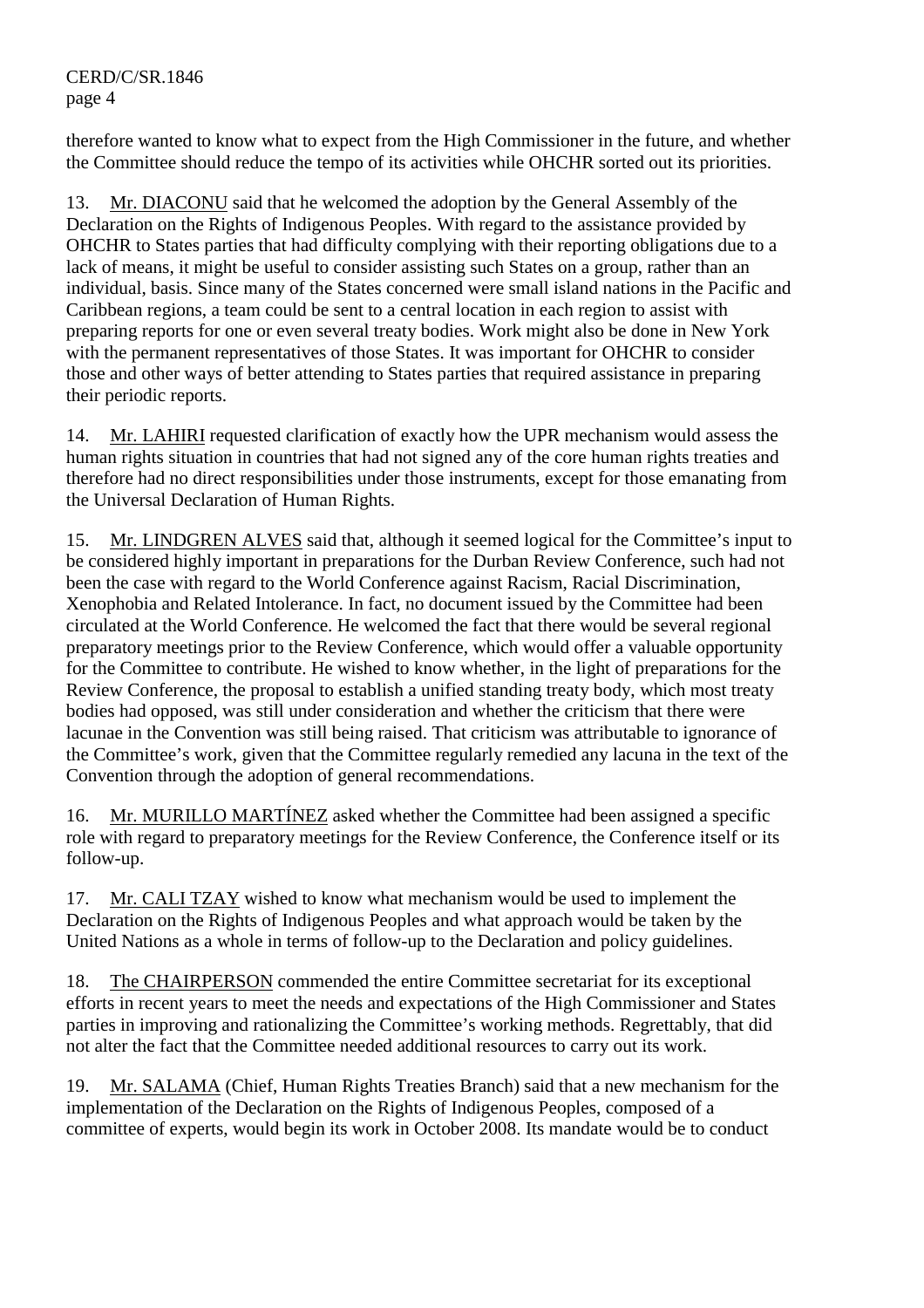therefore wanted to know what to expect from the High Commissioner in the future, and whether the Committee should reduce the tempo of its activities while OHCHR sorted out its priorities.

13. Mr. DIACONU said that he welcomed the adoption by the General Assembly of the Declaration on the Rights of Indigenous Peoples. With regard to the assistance provided by OHCHR to States parties that had difficulty complying with their reporting obligations due to a lack of means, it might be useful to consider assisting such States on a group, rather than an individual, basis. Since many of the States concerned were small island nations in the Pacific and Caribbean regions, a team could be sent to a central location in each region to assist with preparing reports for one or even several treaty bodies. Work might also be done in New York with the permanent representatives of those States. It was important for OHCHR to consider those and other ways of better attending to States parties that required assistance in preparing their periodic reports.

14. Mr. LAHIRI requested clarification of exactly how the UPR mechanism would assess the human rights situation in countries that had not signed any of the core human rights treaties and therefore had no direct responsibilities under those instruments, except for those emanating from the Universal Declaration of Human Rights.

15. Mr. LINDGREN ALVES said that, although it seemed logical for the Committee's input to be considered highly important in preparations for the Durban Review Conference, such had not been the case with regard to the World Conference against Racism, Racial Discrimination, Xenophobia and Related Intolerance. In fact, no document issued by the Committee had been circulated at the World Conference. He welcomed the fact that there would be several regional preparatory meetings prior to the Review Conference, which would offer a valuable opportunity for the Committee to contribute. He wished to know whether, in the light of preparations for the Review Conference, the proposal to establish a unified standing treaty body, which most treaty bodies had opposed, was still under consideration and whether the criticism that there were lacunae in the Convention was still being raised. That criticism was attributable to ignorance of the Committee's work, given that the Committee regularly remedied any lacuna in the text of the Convention through the adoption of general recommendations.

16. Mr. MURILLO MARTÍNEZ asked whether the Committee had been assigned a specific role with regard to preparatory meetings for the Review Conference, the Conference itself or its follow-up.

17. Mr. CALI TZAY wished to know what mechanism would be used to implement the Declaration on the Rights of Indigenous Peoples and what approach would be taken by the United Nations as a whole in terms of follow-up to the Declaration and policy guidelines.

18. The CHAIRPERSON commended the entire Committee secretariat for its exceptional efforts in recent years to meet the needs and expectations of the High Commissioner and States parties in improving and rationalizing the Committee's working methods. Regrettably, that did not alter the fact that the Committee needed additional resources to carry out its work.

19. Mr. SALAMA (Chief, Human Rights Treaties Branch) said that a new mechanism for the implementation of the Declaration on the Rights of Indigenous Peoples, composed of a committee of experts, would begin its work in October 2008. Its mandate would be to conduct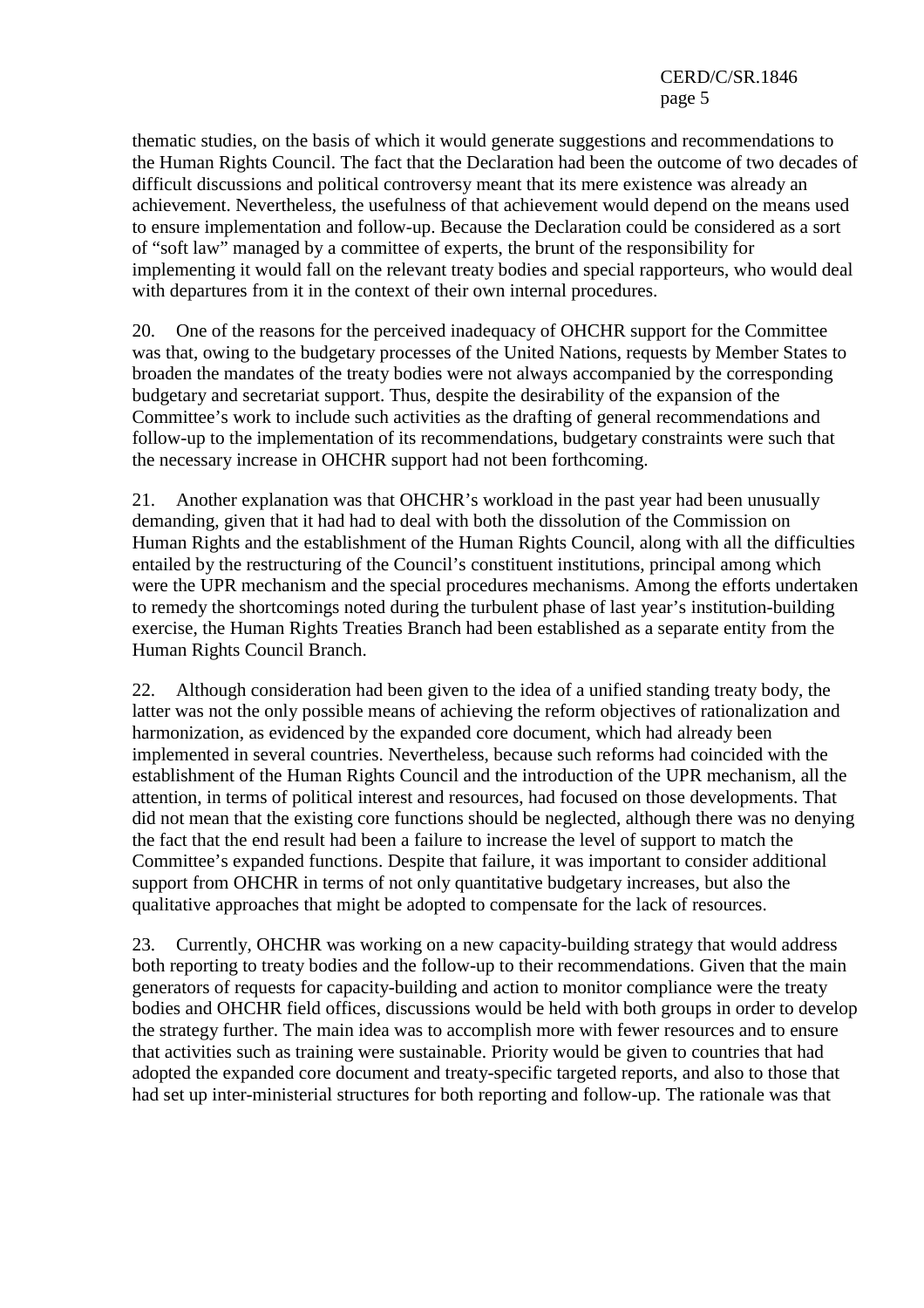thematic studies, on the basis of which it would generate suggestions and recommendations to the Human Rights Council. The fact that the Declaration had been the outcome of two decades of difficult discussions and political controversy meant that its mere existence was already an achievement. Nevertheless, the usefulness of that achievement would depend on the means used to ensure implementation and follow-up. Because the Declaration could be considered as a sort of "soft law" managed by a committee of experts, the brunt of the responsibility for implementing it would fall on the relevant treaty bodies and special rapporteurs, who would deal with departures from it in the context of their own internal procedures.

20. One of the reasons for the perceived inadequacy of OHCHR support for the Committee was that, owing to the budgetary processes of the United Nations, requests by Member States to broaden the mandates of the treaty bodies were not always accompanied by the corresponding budgetary and secretariat support. Thus, despite the desirability of the expansion of the Committee's work to include such activities as the drafting of general recommendations and follow-up to the implementation of its recommendations, budgetary constraints were such that the necessary increase in OHCHR support had not been forthcoming.

21. Another explanation was that OHCHR's workload in the past year had been unusually demanding, given that it had had to deal with both the dissolution of the Commission on Human Rights and the establishment of the Human Rights Council, along with all the difficulties entailed by the restructuring of the Council's constituent institutions, principal among which were the UPR mechanism and the special procedures mechanisms. Among the efforts undertaken to remedy the shortcomings noted during the turbulent phase of last year's institution-building exercise, the Human Rights Treaties Branch had been established as a separate entity from the Human Rights Council Branch.

22. Although consideration had been given to the idea of a unified standing treaty body, the latter was not the only possible means of achieving the reform objectives of rationalization and harmonization, as evidenced by the expanded core document, which had already been implemented in several countries. Nevertheless, because such reforms had coincided with the establishment of the Human Rights Council and the introduction of the UPR mechanism, all the attention, in terms of political interest and resources, had focused on those developments. That did not mean that the existing core functions should be neglected, although there was no denying the fact that the end result had been a failure to increase the level of support to match the Committee's expanded functions. Despite that failure, it was important to consider additional support from OHCHR in terms of not only quantitative budgetary increases, but also the qualitative approaches that might be adopted to compensate for the lack of resources.

23. Currently, OHCHR was working on a new capacity-building strategy that would address both reporting to treaty bodies and the follow-up to their recommendations. Given that the main generators of requests for capacity-building and action to monitor compliance were the treaty bodies and OHCHR field offices, discussions would be held with both groups in order to develop the strategy further. The main idea was to accomplish more with fewer resources and to ensure that activities such as training were sustainable. Priority would be given to countries that had adopted the expanded core document and treaty-specific targeted reports, and also to those that had set up inter-ministerial structures for both reporting and follow-up. The rationale was that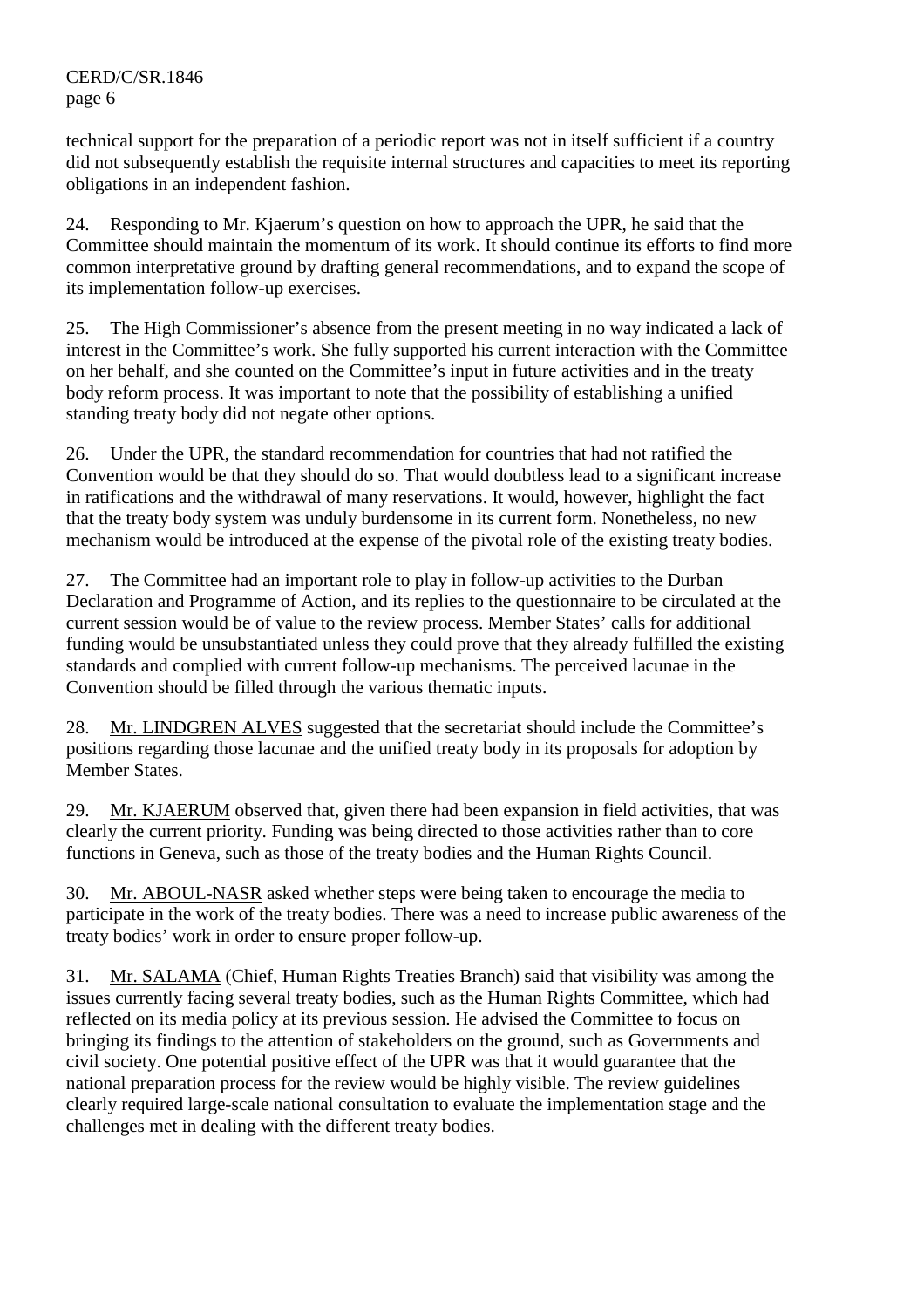technical support for the preparation of a periodic report was not in itself sufficient if a country did not subsequently establish the requisite internal structures and capacities to meet its reporting obligations in an independent fashion.

24. Responding to Mr. Kjaerum's question on how to approach the UPR, he said that the Committee should maintain the momentum of its work. It should continue its efforts to find more common interpretative ground by drafting general recommendations, and to expand the scope of its implementation follow-up exercises.

25. The High Commissioner's absence from the present meeting in no way indicated a lack of interest in the Committee's work. She fully supported his current interaction with the Committee on her behalf, and she counted on the Committee's input in future activities and in the treaty body reform process. It was important to note that the possibility of establishing a unified standing treaty body did not negate other options.

26. Under the UPR, the standard recommendation for countries that had not ratified the Convention would be that they should do so. That would doubtless lead to a significant increase in ratifications and the withdrawal of many reservations. It would, however, highlight the fact that the treaty body system was unduly burdensome in its current form. Nonetheless, no new mechanism would be introduced at the expense of the pivotal role of the existing treaty bodies.

27. The Committee had an important role to play in follow-up activities to the Durban Declaration and Programme of Action, and its replies to the questionnaire to be circulated at the current session would be of value to the review process. Member States' calls for additional funding would be unsubstantiated unless they could prove that they already fulfilled the existing standards and complied with current follow-up mechanisms. The perceived lacunae in the Convention should be filled through the various thematic inputs.

28. Mr. LINDGREN ALVES suggested that the secretariat should include the Committee's positions regarding those lacunae and the unified treaty body in its proposals for adoption by Member States.

29. Mr. KJAERUM observed that, given there had been expansion in field activities, that was clearly the current priority. Funding was being directed to those activities rather than to core functions in Geneva, such as those of the treaty bodies and the Human Rights Council.

30. Mr. ABOUL-NASR asked whether steps were being taken to encourage the media to participate in the work of the treaty bodies. There was a need to increase public awareness of the treaty bodies' work in order to ensure proper follow-up.

31. Mr. SALAMA (Chief, Human Rights Treaties Branch) said that visibility was among the issues currently facing several treaty bodies, such as the Human Rights Committee, which had reflected on its media policy at its previous session. He advised the Committee to focus on bringing its findings to the attention of stakeholders on the ground, such as Governments and civil society. One potential positive effect of the UPR was that it would guarantee that the national preparation process for the review would be highly visible. The review guidelines clearly required large-scale national consultation to evaluate the implementation stage and the challenges met in dealing with the different treaty bodies.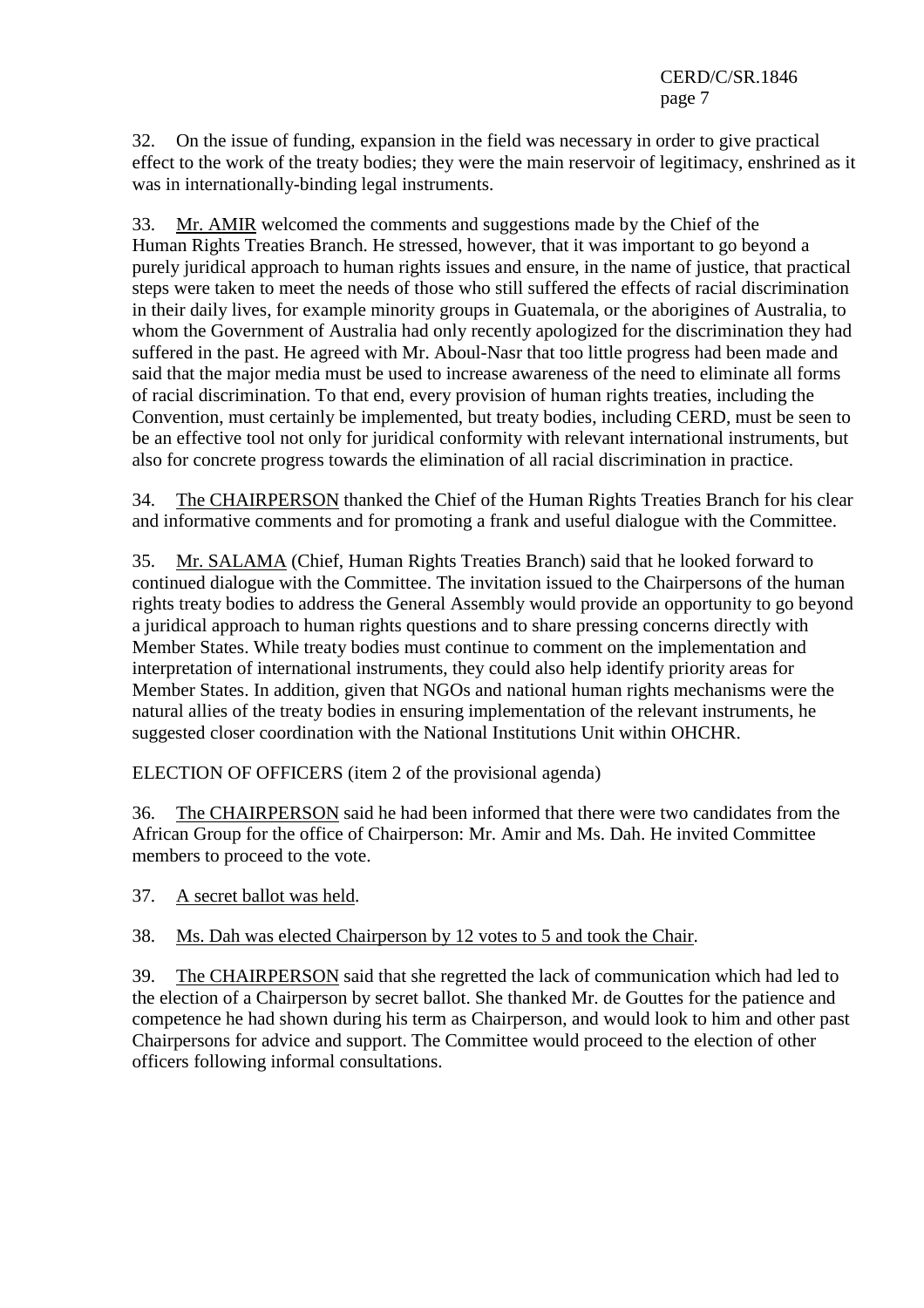32. On the issue of funding, expansion in the field was necessary in order to give practical effect to the work of the treaty bodies; they were the main reservoir of legitimacy, enshrined as it was in internationally-binding legal instruments.

33. Mr. AMIR welcomed the comments and suggestions made by the Chief of the Human Rights Treaties Branch. He stressed, however, that it was important to go beyond a purely juridical approach to human rights issues and ensure, in the name of justice, that practical steps were taken to meet the needs of those who still suffered the effects of racial discrimination in their daily lives, for example minority groups in Guatemala, or the aborigines of Australia, to whom the Government of Australia had only recently apologized for the discrimination they had suffered in the past. He agreed with Mr. Aboul-Nasr that too little progress had been made and said that the major media must be used to increase awareness of the need to eliminate all forms of racial discrimination. To that end, every provision of human rights treaties, including the Convention, must certainly be implemented, but treaty bodies, including CERD, must be seen to be an effective tool not only for juridical conformity with relevant international instruments, but also for concrete progress towards the elimination of all racial discrimination in practice.

34. The CHAIRPERSON thanked the Chief of the Human Rights Treaties Branch for his clear and informative comments and for promoting a frank and useful dialogue with the Committee.

35. Mr. SALAMA (Chief, Human Rights Treaties Branch) said that he looked forward to continued dialogue with the Committee. The invitation issued to the Chairpersons of the human rights treaty bodies to address the General Assembly would provide an opportunity to go beyond a juridical approach to human rights questions and to share pressing concerns directly with Member States. While treaty bodies must continue to comment on the implementation and interpretation of international instruments, they could also help identify priority areas for Member States. In addition, given that NGOs and national human rights mechanisms were the natural allies of the treaty bodies in ensuring implementation of the relevant instruments, he suggested closer coordination with the National Institutions Unit within OHCHR.

ELECTION OF OFFICERS (item 2 of the provisional agenda)

36. The CHAIRPERSON said he had been informed that there were two candidates from the African Group for the office of Chairperson: Mr. Amir and Ms. Dah. He invited Committee members to proceed to the vote.

37. A secret ballot was held.

38. Ms. Dah was elected Chairperson by 12 votes to 5 and took the Chair.

39. The CHAIRPERSON said that she regretted the lack of communication which had led to the election of a Chairperson by secret ballot. She thanked Mr. de Gouttes for the patience and competence he had shown during his term as Chairperson, and would look to him and other past Chairpersons for advice and support. The Committee would proceed to the election of other officers following informal consultations.